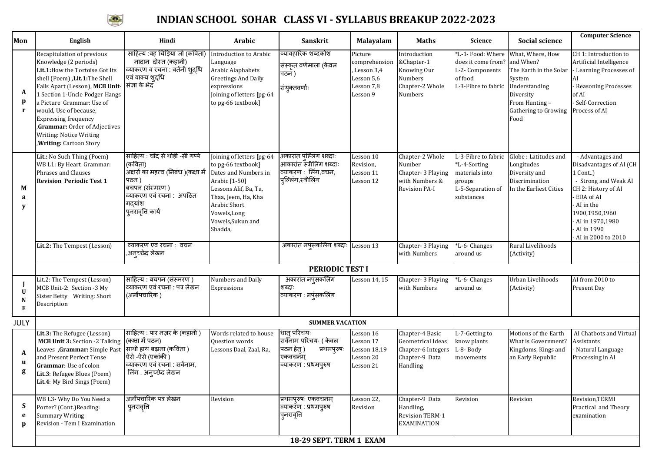

## **INDIAN SCHOOL SOHAR CLASS VI - SYLLABUS BREAKUP 2022-2023**

| Mon                    | English                                                                                                                                                                                                                                                                                                                                                                     | Hindi                                                                                                                                                                        | Arabic                                                                                                                                                                                                   | Sanskrit                                                                                             | Malayalam                                                                      | <b>Maths</b>                                                                             | Science                                                                                            | Social science                                                                                                                                    | <b>Computer Science</b>                                                                                                                                                                                        |
|------------------------|-----------------------------------------------------------------------------------------------------------------------------------------------------------------------------------------------------------------------------------------------------------------------------------------------------------------------------------------------------------------------------|------------------------------------------------------------------------------------------------------------------------------------------------------------------------------|----------------------------------------------------------------------------------------------------------------------------------------------------------------------------------------------------------|------------------------------------------------------------------------------------------------------|--------------------------------------------------------------------------------|------------------------------------------------------------------------------------------|----------------------------------------------------------------------------------------------------|---------------------------------------------------------------------------------------------------------------------------------------------------|----------------------------------------------------------------------------------------------------------------------------------------------------------------------------------------------------------------|
| A<br>p<br>$\mathbf{r}$ | Recapitulation of previous<br>Knowledge (2 periods)<br>Lit.1: How the Tortoise Got Its<br>shell (Poem) , Lit.1: The Shell<br>Falls Apart (Lesson), MCB Unit-<br>1 Section 1-Uncle Podger Hangs<br>a Picture Grammar: Use of<br>would, Use of because,<br><b>Expressing frequency</b><br>Grammar: Order of Adjectives<br>Writing: Notice Writing<br>, Writing: Cartoon Story | साहित्य :वह चिड़िया जो (कविता)<br>नादान दोस्त (कहानी)<br>व्याकरण व रचना : वर्तनी शुद्धि<br>एवं वाक्य शुद्धि<br>संज्ञा के भेदँ                                                | Introduction to Arabic<br>Language<br>Arabic Alaphabets<br><b>Greetings And Daily</b><br>expressions<br>Joining of letters [pg-64<br>to pg-66 textbook]                                                  | व्यावहारिक शब्दकोश<br>सिंस्कृत वर्णमाला (केवल<br>पठन)<br>संयुक्तवर्णाः                               | Picture<br>comprehension<br>Lesson 3,4<br>Lesson 5,6<br>Lesson 7,8<br>Lesson 9 | Introduction<br>&Chapter-1<br>Knowing Our<br>Numbers<br>Chapter-2 Whole<br>Numbers       | *L-1- Food: Where<br>does it come from?<br>L-2-Components<br>of food<br>L-3-Fibre to fabric        | What, Where, How<br>and When?<br>The Earth in the Solar<br>System<br>Understanding<br>Diversity<br>From Hunting -<br>Gathering to Growing<br>Food | CH 1: Introduction to<br>Artificial Intelligence<br>- Learning Processes of<br>AI<br>Reasoning Processes<br>of AI<br>- Self-Correction<br>Process of AI                                                        |
| M<br>a<br>у            | Lit.: No Such Thing (Poem)<br>WB L1: By Heart Grammar:<br>Phrases and Clauses<br><b>Revision Periodic Test 1</b>                                                                                                                                                                                                                                                            | साहित्य : चाँद से थोड़ी -सी गर्प्पे<br>(कविता)<br>अक्षरों का महत्त्व (निबंध) (कक्षा में<br>पठन )<br>बचपन (संस्मरण )<br>व्याकरण एवं रचना: अपठित<br>गद्यांश<br>पुनरावृति कार्य | Joining of letters [pg-64<br>to pg-66 textbook]<br>Dates and Numbers in<br>Arabic [1-50]<br>Lessons Alif, Ba, Ta,<br>Thaa, Jeem, Ha, Kha<br>Arabic Short<br>Vowels, Long<br>Vowels, Sukun and<br>Shadda, | अकारांत पुल्लिंग शब्दाः<br>आकारांत स्त्रीलिंग शब्दाः<br>व्याकरण : लिंग,वचन,<br>पुल्लिंग,स्त्रीलिंग   | Lesson 10<br>Revision,<br>Lesson 11<br>Lesson 12                               | Chapter-2 Whole<br>Number<br>Chapter- 3 Playing<br>with Numbers &<br>Revision PA-I       | L-3-Fibre to fabric<br>*L-4-Sorting<br>materials into<br>groups<br>L-5-Separation of<br>substances | Globe : Latitudes and<br>Longitudes<br>Diversity and<br>Discrimination<br>In the Earliest Cities                                                  | - Advantages and<br>Disadvantages of AI (CH<br>1 Cont)<br>- Strong and Weak AI<br>CH 2: History of AI<br>ERA of AI<br>AI in the<br>1900,1950,1960<br>- AI in 1970,1980<br>- AI in 1990<br>- AI in 2000 to 2010 |
|                        | Lit.2: The Tempest (Lesson)                                                                                                                                                                                                                                                                                                                                                 | व्याकरण एवं रचना : वचन<br>,अन्च्छेद लेखन                                                                                                                                     |                                                                                                                                                                                                          | अकारांत नपुंसकलिंग शब्दाः Lesson 13                                                                  |                                                                                | Chapter- 3 Playing<br>with Numbers                                                       | *L-6- Changes<br>around us                                                                         | Rural Livelihoods<br>(Activity)                                                                                                                   |                                                                                                                                                                                                                |
|                        |                                                                                                                                                                                                                                                                                                                                                                             |                                                                                                                                                                              |                                                                                                                                                                                                          | PERIODIC TEST I                                                                                      |                                                                                |                                                                                          |                                                                                                    |                                                                                                                                                   |                                                                                                                                                                                                                |
| U<br>N<br>E            | Lit.2: The Tempest (Lesson)<br>MCB Unit-2: Section -3 My<br>Sister Betty Writing: Short<br>Description                                                                                                                                                                                                                                                                      | साहित्य : बचपन (संस्मरण)<br>व्याकरण एवं रचना : पत्र लेखन<br>(अनौपचारिक)                                                                                                      | Numbers and Daily<br>Expressions                                                                                                                                                                         | अकारांत नपुंसकलिंग<br>शब्दाः<br>व्याकरण : नप्ंसकलिंग                                                 | Lesson 14, 15                                                                  | Chapter- 3 Playing<br>with Numbers                                                       | *L-6- Changes<br>around us                                                                         | Urban Livelihoods<br>(Activity)                                                                                                                   | AI from 2010 to<br>Present Day                                                                                                                                                                                 |
| <b>JULY</b>            |                                                                                                                                                                                                                                                                                                                                                                             |                                                                                                                                                                              |                                                                                                                                                                                                          | <b>SUMMER VACATION</b>                                                                               |                                                                                |                                                                                          |                                                                                                    |                                                                                                                                                   |                                                                                                                                                                                                                |
| A<br>u<br>g            | Lit.3: The Refugee (Lesson)<br>MCB Unit 3: Section -2 Talking<br>Leaves , Grammar: Simple Past<br>and Present Perfect Tense<br>Grammar: Use of colon<br>Lit.3: Refugee Blues (Poem)<br>Lit.4: My Bird Sings (Poem)                                                                                                                                                          | साहित्य : पार नज़र के (कहानी )<br>(कक्षा में पठन)<br>साथी हाथ बढ़ाना (कविता)<br>ऐसे -ऐसे (एकांकी)<br>व्याकरण एवं रचना : सर्वनाम,<br>लिंग, अन्च्छेद लेखन                      | Words related to house<br>Question words<br>Lessons Daal, Zaal, Ra,                                                                                                                                      | धातु परिचयः<br>सर्वनाम परिचयः ( केवल<br>पठन हेतु )<br>प्रथमपुरुषः<br>एकवचनम्<br>व्याकरण : प्रथमप्रुष | Lesson 16<br>Lesson 17<br><b>Lesson 18,19</b><br>Lesson 20<br>Lesson 21        | Chapter-4 Basic<br>Geometrical Ideas<br>Chapter-6 Integers<br>Chapter-9 Data<br>Handling | L-7-Getting to<br>know plants<br>L-8-Body<br>movements                                             | Motions of the Earth<br>What is Government?<br>Kingdoms, Kings and<br>an Early Republic                                                           | AI Chatbots and Virtual<br>Assistants<br>- Natural Language<br>Processing in AI                                                                                                                                |
| S<br>e<br>D            | WB L3- Why Do You Need a<br>Porter? (Cont.) Reading:<br><b>Summary Writing</b><br>Revision - Tem I Examination                                                                                                                                                                                                                                                              | अनौपचारिक पत्र लेखन<br>पुनरावृत्ति                                                                                                                                           | Revision                                                                                                                                                                                                 | प्रथमपुरुषः एकवचनम्<br>व्याकरॅण : प्रथमपुरुष<br>पुनरावृति                                            | Lesson 22,<br>Revision                                                         | Chapter-9 Data<br>Handling,<br><b>Revision TERM-1</b><br><b>EXAMINATION</b>              | Revision                                                                                           | Revision                                                                                                                                          | Revision, TERMI<br>Practical and Theory<br>examination                                                                                                                                                         |
|                        | 18-29 SEPT. TERM 1 EXAM                                                                                                                                                                                                                                                                                                                                                     |                                                                                                                                                                              |                                                                                                                                                                                                          |                                                                                                      |                                                                                |                                                                                          |                                                                                                    |                                                                                                                                                   |                                                                                                                                                                                                                |